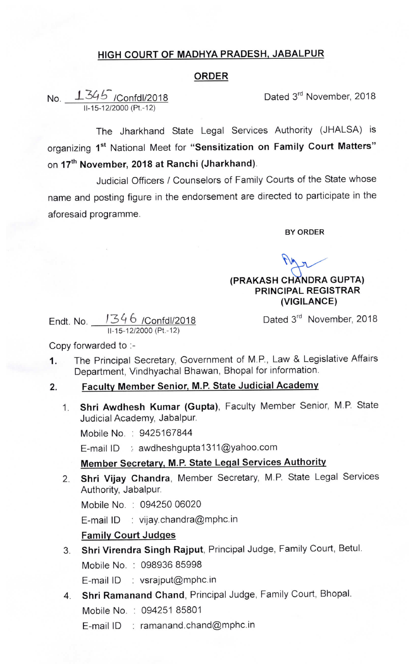# HIGH COURT OF MADHYA PRADESH, JABALPUR

### ORDER

No. \_\_<del>\_\_*\_\_S4.b\_*\_/Confdl/2018</del> \_\_\_\_\_\_\_\_\_\_\_\_\_\_\_\_\_\_\_\_\_\_Dated 3<sup>rd</sup> November, 2018 11-15-12/2000 (Pt.-12)

The Jharkhand State Legal Services Authority (JHALSA) is organizing 1<sup>st</sup> National Meet for "Sensitization on Family Court Matters" on 17<sup>th</sup> November, 2018 at Ranchi (Jharkhand).

Judicial Officers / Counselors of Family Courts of the State whose name and posting figure in the endorsement are directed to participate in the aforesaid programme.

BY ORDER

### (PRAKASH CHANDRA GUPTA) PRINCIPAL REGISTRAR (VIGILANCE)

Dated 3<sup>rd</sup> November, 2018

Endt. No. `34 6 /Confdl/2018 ll-15-12/2000 (Pt.-12)

Copy forwarded to :-

1. The Principal Secretary, Government of M.P., Law & Legislative Affairs Department, Vindhyachal Bhawan, Bhopal for information.

#### Faculty Member Senior, M.P. State Judicial Academy 2.

1. Shri Awdhesh Kumar (Gupta), Faculty Member Senior, M.P. State Judicial Academy, Jabalpur.

Mobile No. : 9425167844

E-mail ID : awdheshgupta1311@yahoo.com

## Member Secretary, M.P. State Legal Services Authority

Shri Vijay Chandra, Member Secretary, M.P. State Legal Services 2. Authority, Jabalpur.

Mobile No. : 094250 06020

E-mail lD : vijay.chandra@mphc.in

### **Family Court Judges**

- Shri Virendra Singh Rajput, Principal Judge, Family Court, Betul.  $3<sub>1</sub>$ Mobile No. : 098936 85998
	- E-mail lD : vsrajput@mphc.in
- 4. Shri Ramanand chand, Principal Judge, Family court, Bhopal. Mobile No. : 094251 85801

E-mail ID : ramanand.chand@mphc.in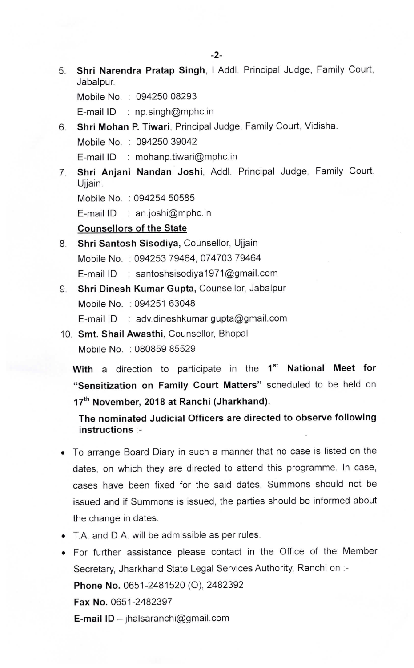5, Shri Narendra Pratap Singh, I Addl. Principal Judge, Family Court, Jabalpur.

Mobile No. : 094250 08293

E-mail lD : np.singh@mphc.in

6. Shri Mohan P. Tiwari, Principal Judge, Family Court, Vidisha. Mobile No. : 094250 39042

E-mail lD : mohanp.tiwari@mphc.in

Shri Anjani Nandan Joshi, Addl. Principal Judge, Family Court, 7. Ujjain.

Mobile No. : 094254 50585

E-mail lD : an.joshi@mphc.in

Counsellors of the State

- 8. Shri Santosh Sisodiya, Counsellor, Ujjain Mobile No. : 094253 79464, 074703 79464 E-mail ID : santoshsisodiya1971@gmail.com
- 9. Shri Dinesh Kumar Gupta, Counsellor, Jabalpur Mobile No. : 094251 63048 E-mail ID : adv.dineshkumar gupta@gmail.com
- 10. Smt. Shail Awasthi, Counsellor, Bhopal Mobile No. : 080859 85529

With a direction to participate in the 1<sup>st</sup> National Meet for "Sensitization on Family Court Matters" scheduled to be held on 17<sup>th</sup> November, 2018 at Ranchi (Jharkhand).

The nominated Judicial Officers are directed to observe following instructions :-

- To arrange Board Diary in such a manner that no case is listed on the dates, on which they are directed to attend this programme. In case, cases have been fixed for the said dates, Summons should not be issued and if Summons is issued, the parties should be informed about the change in dates.
- T.A. and D.A. will be admissible as per rules.
- For further assistance please contact in the Office of the Member Secretary, Jharkhand State Legal Services Authority, Ranchi on :- Phone No. 0651-2481520 (0), 2482392 Fax No. 0651-2482397 **E-mail ID** - jhalsaranchi@gmail.com